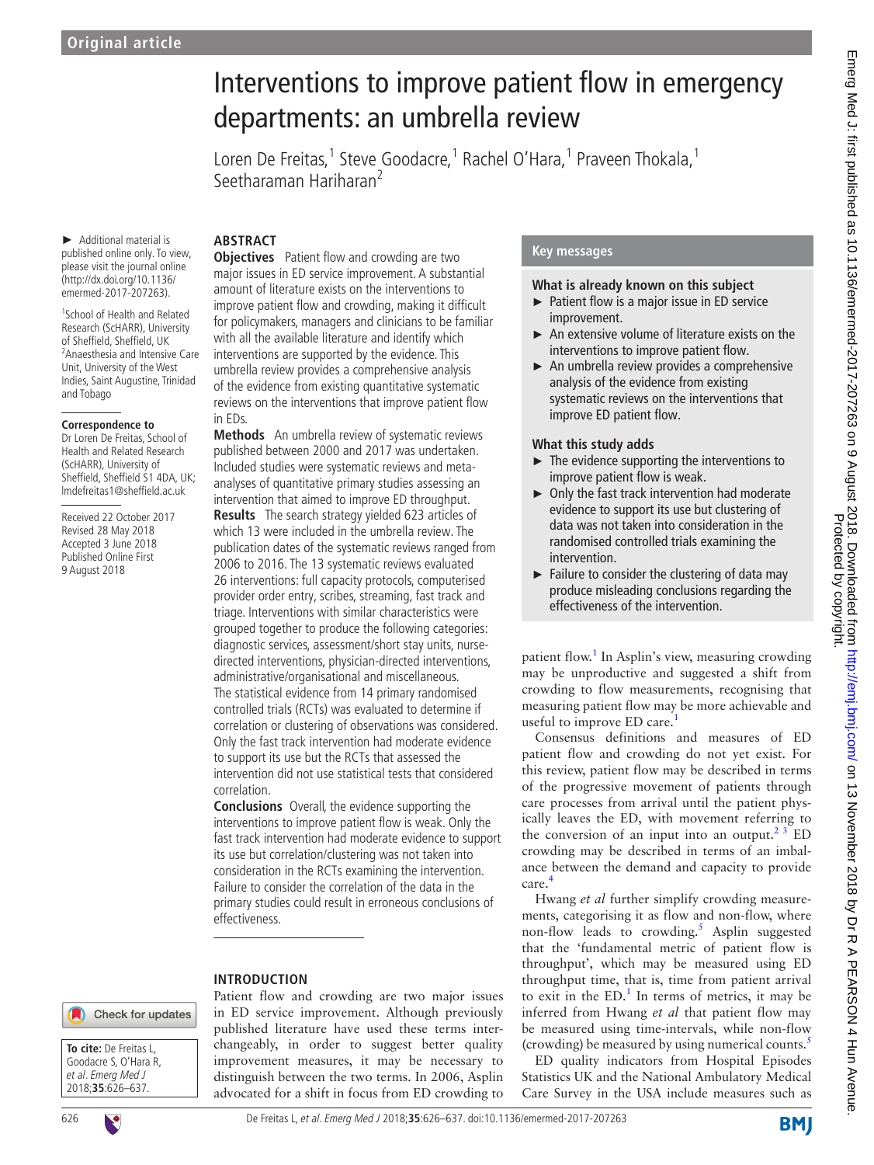# Interventions to improve patient flow in emergency departments: an umbrella review

Loren De Freitas,<sup>1</sup> Steve Goodacre,<sup>1</sup> Rachel O'Hara,<sup>1</sup> Praveen Thokala,<sup>1</sup> Seetharaman Hariharan<sup>2</sup>

► Additional material is published online only. To view, please visit the journal online (http://dx.doi.org/10.1136/ emermed-2017-207263).

1 School of Health and Related Research (ScHARR), University of Sheffield, Sheffield, UK <sup>2</sup> Anaesthesia and Intensive Care Unit, University of the West Indies, Saint Augustine, Trinidad and Tobago

#### **Correspondence to**

Dr Loren De Freitas, School of Health and Related Research (ScHARR), University of Sheffield, Sheffield S1 4DA, UK; lmdefreitas1@sheffield.ac.uk

Received 22 October 2017 Revised 28 May 2018 Accepted 3 June 2018 Published Online First 9 August 2018

## **Abstract**

**Objectives** Patient flow and crowding are two major issues in ED service improvement. A substantial amount of literature exists on the interventions to improve patient flow and crowding, making it difficult for policymakers, managers and clinicians to be familiar with all the available literature and identify which interventions are supported by the evidence. This umbrella review provides a comprehensive analysis of the evidence from existing quantitative systematic reviews on the interventions that improve patient flow in EDs.

**Methods** An umbrella review of systematic reviews published between 2000 and 2017 was undertaken. Included studies were systematic reviews and metaanalyses of quantitative primary studies assessing an intervention that aimed to improve ED throughput.

**Results** The search strategy yielded 623 articles of which 13 were included in the umbrella review. The publication dates of the systematic reviews ranged from 2006 to 2016. The 13 systematic reviews evaluated 26 interventions: full capacity protocols, computerised provider order entry, scribes, streaming, fast track and triage. Interventions with similar characteristics were grouped together to produce the following categories: diagnostic services, assessment/short stay units, nursedirected interventions, physician-directed interventions, administrative/organisational and miscellaneous. The statistical evidence from 14 primary randomised controlled trials (RCTs) was evaluated to determine if correlation or clustering of observations was considered. Only the fast track intervention had moderate evidence to support its use but the RCTs that assessed the intervention did not use statistical tests that considered correlation.

**Conclusions** Overall, the evidence supporting the interventions to improve patient flow is weak. Only the fast track intervention had moderate evidence to support its use but correlation/clustering was not taken into consideration in the RCTs examining the intervention. Failure to consider the correlation of the data in the primary studies could result in erroneous conclusions of effectiveness.

## **Introduction**



**To cite:** De Freitas L, Goodacre S, O'Hara R, et al. Emerg Med J 2018;**35**:626–637.



published literature have used these terms interchangeably, in order to suggest better quality improvement measures, it may be necessary to distinguish between the two terms. In 2006, Asplin advocated for a shift in focus from ED crowding to

Patient flow and crowding are two major issues in ED service improvement. Although previously

## **Key messages**

## **What is already known on this subject**

- ► Patient flow is a major issue in ED service improvement.
- An extensive volume of literature exists on the interventions to improve patient flow.
- ► An umbrella review provides a comprehensive analysis of the evidence from existing systematic reviews on the interventions that improve ED patient flow.

## **What this study adds**

- ► The evidence supporting the interventions to improve patient flow is weak.
- ► Only the fast track intervention had moderate evidence to support its use but clustering of data was not taken into consideration in the randomised controlled trials examining the intervention.
- $\blacktriangleright$  Failure to consider the clustering of data may produce misleading conclusions regarding the effectiveness of the intervention.

patient flow.<sup>[1](#page-10-0)</sup> In Asplin's view, measuring crowding may be unproductive and suggested a shift from crowding to flow measurements, recognising that measuring patient flow may be more achievable and useful to improve ED care.<sup>1</sup>

Consensus definitions and measures of ED patient flow and crowding do not yet exist. For this review, patient flow may be described in terms of the progressive movement of patients through care processes from arrival until the patient physically leaves the ED, with movement referring to the conversion of an input into an output. $2<sup>3</sup>$  ED crowding may be described in terms of an imbalance between the demand and capacity to provide care[.4](#page-10-2)

Hwang *et al* further simplify crowding measurements, categorising it as flow and non-flow, where non-flow leads to crowding.<sup>[5](#page-10-3)</sup> Asplin suggested that the 'fundamental metric of patient flow is throughput', which may be measured using ED throughput time, that is, time from patient arrival to exit in the  $ED<sup>1</sup>$  $ED<sup>1</sup>$  $ED<sup>1</sup>$ . In terms of metrics, it may be inferred from Hwang *et al* that patient flow may be measured using time-intervals, while non-flow (crowding) be measured by using numerical counts.<sup>[5](#page-10-3)</sup>

ED quality indicators from Hospital Episodes Statistics UK and the National Ambulatory Medical Care Survey in the USA include measures such as

**BMJ**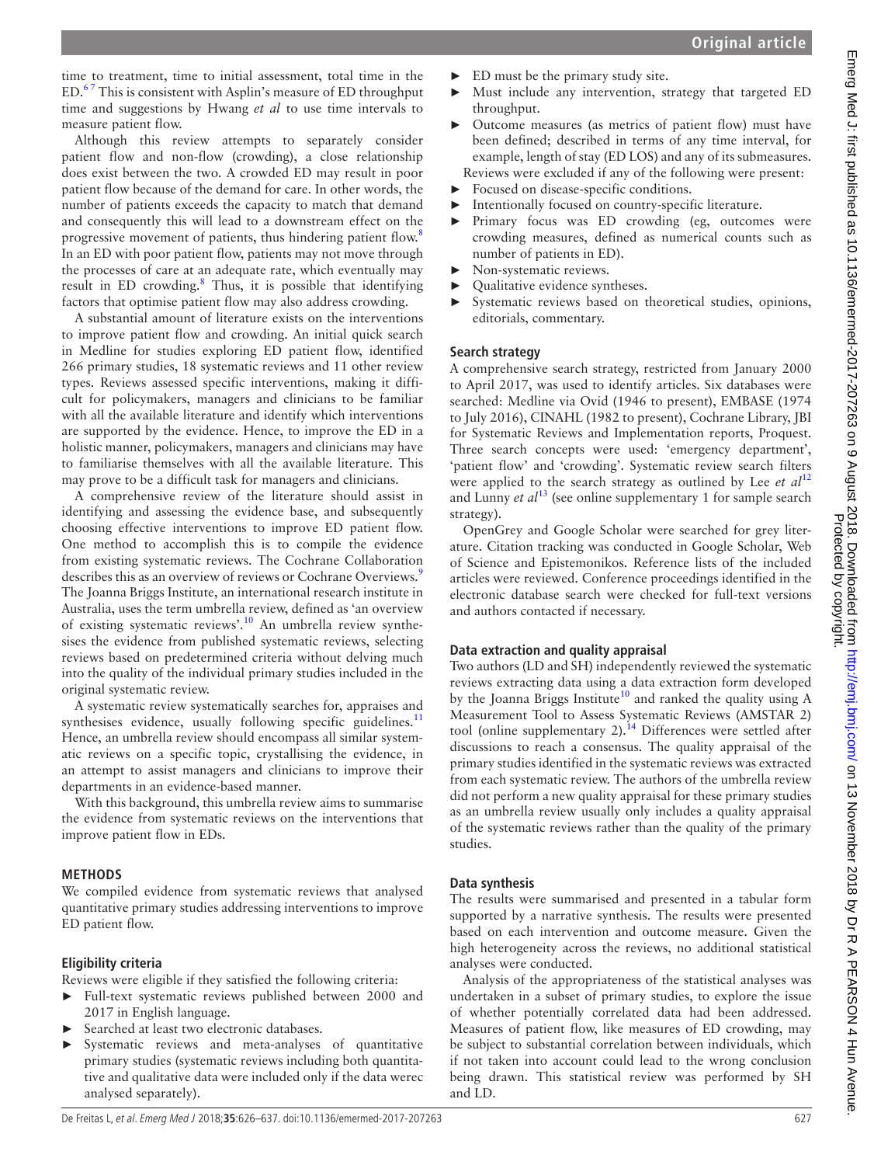time to treatment, time to initial assessment, total time in the  $ED.^{67}$  This is consistent with Asplin's measure of ED throughput time and suggestions by Hwang *et al* to use time intervals to measure patient flow.

Although this review attempts to separately consider patient flow and non-flow (crowding), a close relationship does exist between the two. A crowded ED may result in poor patient flow because of the demand for care. In other words, the number of patients exceeds the capacity to match that demand and consequently this will lead to a downstream effect on the progressive movement of patients, thus hindering patient flow.<sup>[8](#page-11-0)</sup> In an ED with poor patient flow, patients may not move through the processes of care at an adequate rate, which eventually may result in ED crowding.<sup>[8](#page-11-0)</sup> Thus, it is possible that identifying factors that optimise patient flow may also address crowding.

A substantial amount of literature exists on the interventions to improve patient flow and crowding. An initial quick search in Medline for studies exploring ED patient flow, identified 266 primary studies, 18 systematic reviews and 11 other review types. Reviews assessed specific interventions, making it difficult for policymakers, managers and clinicians to be familiar with all the available literature and identify which interventions are supported by the evidence. Hence, to improve the ED in a holistic manner, policymakers, managers and clinicians may have to familiarise themselves with all the available literature. This may prove to be a difficult task for managers and clinicians.

A comprehensive review of the literature should assist in identifying and assessing the evidence base, and subsequently choosing effective interventions to improve ED patient flow. One method to accomplish this is to compile the evidence from existing systematic reviews. The Cochrane Collaboration describes this as an overview of reviews or Cochrane Overviews.<sup>9</sup> The Joanna Briggs Institute, an international research institute in Australia, uses the term umbrella review, defined as 'an overview of existing systematic reviews'.<sup>10</sup> An umbrella review synthesises the evidence from published systematic reviews, selecting reviews based on predetermined criteria without delving much into the quality of the individual primary studies included in the original systematic review.

A systematic review systematically searches for, appraises and synthesises evidence, usually following specific guidelines. $<sup>11</sup>$  $<sup>11</sup>$  $<sup>11</sup>$ </sup> Hence, an umbrella review should encompass all similar systematic reviews on a specific topic, crystallising the evidence, in an attempt to assist managers and clinicians to improve their departments in an evidence-based manner.

With this background, this umbrella review aims to summarise the evidence from systematic reviews on the interventions that improve patient flow in EDs.

## **Methods**

We compiled evidence from systematic reviews that analysed quantitative primary studies addressing interventions to improve ED patient flow.

## **Eligibility criteria**

Reviews were eligible if they satisfied the following criteria:

- ► Full-text systematic reviews published between 2000 and 2017 in English language.
- Searched at least two electronic databases.
- Systematic reviews and meta-analyses of quantitative primary studies (systematic reviews including both quantitative and qualitative data were included only if the data werec analysed separately).
- ► ED must be the primary study site.
- Must include any intervention, strategy that targeted ED throughput.
- ► Outcome measures (as metrics of patient flow) must have been defined; described in terms of any time interval, for example, length of stay (ED LOS) and any of its submeasures. Reviews were excluded if any of the following were present:
- ► Focused on disease-specific conditions.
- Intentionally focused on country-specific literature. Primary focus was ED crowding (eg, outcomes were crowding measures, defined as numerical counts such as number of patients in ED).
- ► Non-systematic reviews.
- ► Qualitative evidence syntheses.
- Systematic reviews based on theoretical studies, opinions, editorials, commentary.

## **Search strategy**

A comprehensive search strategy, restricted from January 2000 to April 2017, was used to identify articles. Six databases were searched: Medline via Ovid (1946 to present), EMBASE (1974 to July 2016), CINAHL (1982 to present), Cochrane Library, JBI for Systematic Reviews and Implementation reports, Proquest. Three search concepts were used: 'emergency department', 'patient flow' and 'crowding'. Systematic review search filters were applied to the search strategy as outlined by Lee *et al*<sup>[12](#page-11-4)</sup> and Lunny *et al*<sup>13</sup> (see online [supplementary 1](https://dx.doi.org/10.1136/emermed-2017-207263) for sample search strategy).

OpenGrey and Google Scholar were searched for grey literature. Citation tracking was conducted in Google Scholar, Web of Science and Epistemonikos. Reference lists of the included articles were reviewed. Conference proceedings identified in the electronic database search were checked for full-text versions and authors contacted if necessary.

## **Data extraction and quality appraisal**

Two authors (LD and SH) independently reviewed the systematic reviews extracting data using a data extraction form developed by the Joanna Briggs Institute<sup>[10](#page-11-2)</sup> and ranked the quality using A Measurement Tool to Assess Systematic Reviews (AMSTAR 2) tool (online [supplementary 2\)](https://dx.doi.org/10.1136/emermed-2017-207263).<sup>14</sup> Differences were settled after discussions to reach a consensus. The quality appraisal of the primary studies identified in the systematic reviews was extracted from each systematic review. The authors of the umbrella review did not perform a new quality appraisal for these primary studies as an umbrella review usually only includes a quality appraisal of the systematic reviews rather than the quality of the primary studies.

## **Data synthesis**

The results were summarised and presented in a tabular form supported by a narrative synthesis. The results were presented based on each intervention and outcome measure. Given the high heterogeneity across the reviews, no additional statistical analyses were conducted.

Analysis of the appropriateness of the statistical analyses was undertaken in a subset of primary studies, to explore the issue of whether potentially correlated data had been addressed. Measures of patient flow, like measures of ED crowding, may be subject to substantial correlation between individuals, which if not taken into account could lead to the wrong conclusion being drawn. This statistical review was performed by SH and LD.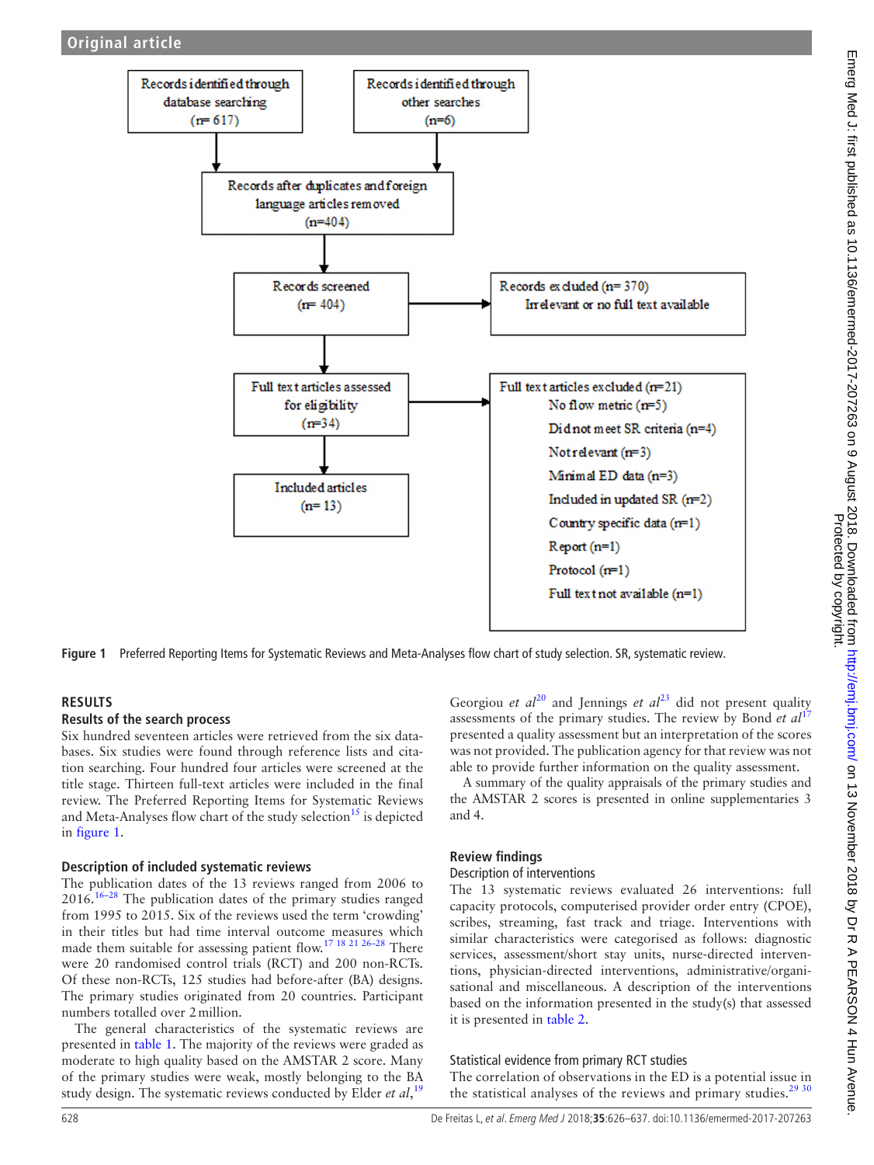

<span id="page-2-0"></span>**Figure 1** Preferred Reporting Items for Systematic Reviews and Meta-Analyses flow chart of study selection. SR, systematic review.

## **Results**

## **Results of the search process**

Six hundred seventeen articles were retrieved from the six databases. Six studies were found through reference lists and citation searching. Four hundred four articles were screened at the title stage. Thirteen full-text articles were included in the final review. The Preferred Reporting Items for Systematic Reviews and Meta-Analyses flow chart of the study selection<sup>15</sup> is depicted in [figure](#page-2-0) 1.

## **Description of included systematic reviews**

The publication dates of the 13 reviews ranged from 2006 to  $2016$ .<sup>16–28</sup> The publication dates of the primary studies ranged from 1995 to 2015. Six of the reviews used the term 'crowding' in their titles but had time interval outcome measures which made them suitable for assessing patient flow.[17 18 21 26–28](#page-11-9) There were 20 randomised control trials (RCT) and 200 non-RCTs. Of these non-RCTs, 125 studies had before-after (BA) designs. The primary studies originated from 20 countries. Participant numbers totalled over 2million.

The general characteristics of the systematic reviews are presented in [table](#page-3-0) 1. The majority of the reviews were graded as moderate to high quality based on the AMSTAR 2 score. Many of the primary studies were weak, mostly belonging to the BA study design. The systematic reviews conducted by Elder *et al*, [19](#page-11-10)

Georgiou *et*  $al^{20}$  $al^{20}$  $al^{20}$  and Jennings *et*  $al^{23}$  did not present quality assessments of the primary studies. The review by Bond *et al*<sup>[17](#page-11-9)</sup> presented a quality assessment but an interpretation of the scores was not provided. The publication agency for that review was not able to provide further information on the quality assessment.

A summary of the quality appraisals of the primary studies and the AMSTAR 2 scores is presented in online [supplementaries 3](https://dx.doi.org/10.1136/emermed-2017-207263) [and 4.](https://dx.doi.org/10.1136/emermed-2017-207263)

## **Review findings**

#### Description of interventions

The 13 systematic reviews evaluated 26 interventions: full capacity protocols, computerised provider order entry (CPOE), scribes, streaming, fast track and triage. Interventions with similar characteristics were categorised as follows: diagnostic services, assessment/short stay units, nurse-directed interventions, physician-directed interventions, administrative/organisational and miscellaneous. A description of the interventions based on the information presented in the study(s) that assessed it is presented in [table](#page-5-0) 2.

## Statistical evidence from primary RCT studies

The correlation of observations in the ED is a potential issue in the statistical analyses of the reviews and primary studies.<sup>[29 30](#page-11-13)</sup>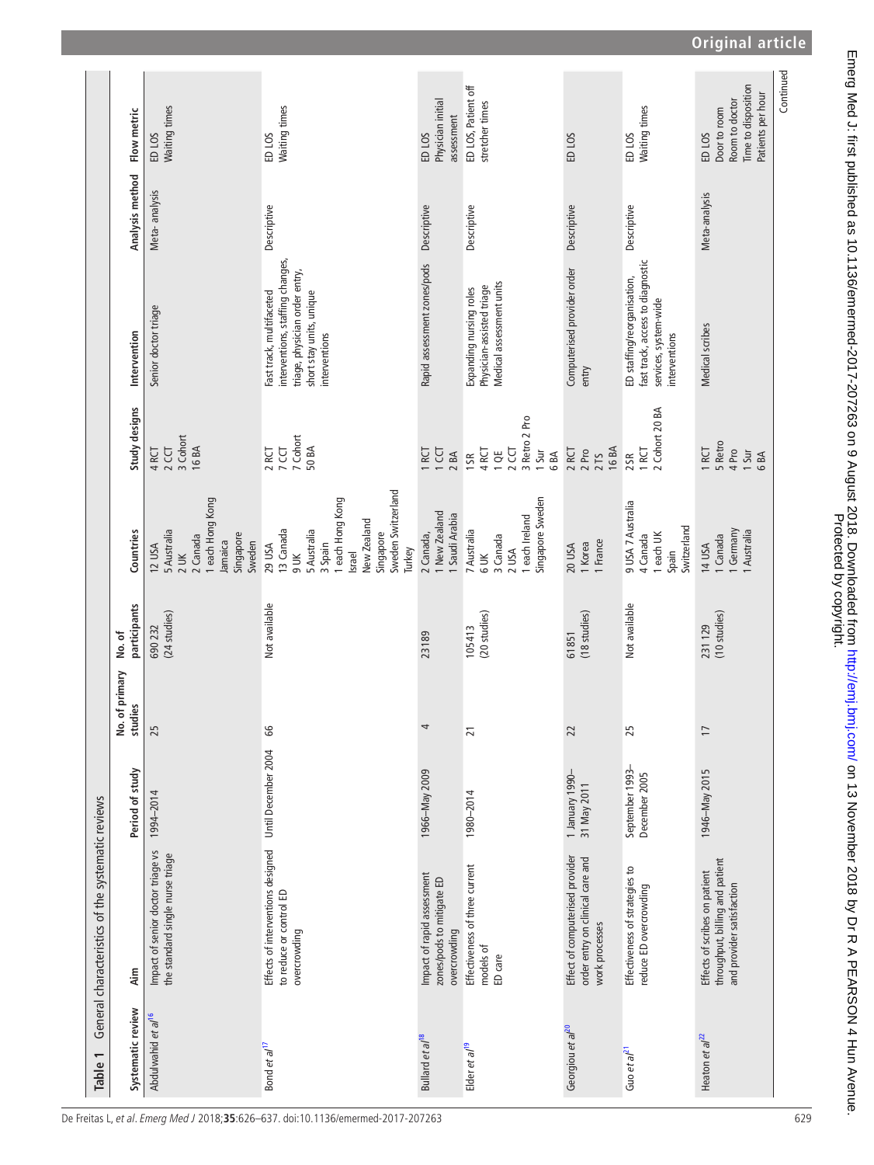<span id="page-3-0"></span>

| Table 1                        | General characteristics of the systematic reviews                                             |                                  |                           |                         |                                                                                                                                               |                                                                 |                                                                                                                                             |                 |                                                                                                 |
|--------------------------------|-----------------------------------------------------------------------------------------------|----------------------------------|---------------------------|-------------------------|-----------------------------------------------------------------------------------------------------------------------------------------------|-----------------------------------------------------------------|---------------------------------------------------------------------------------------------------------------------------------------------|-----------------|-------------------------------------------------------------------------------------------------|
| Systematic review              | Aim                                                                                           | Period of study                  | No. of primary<br>studies | participants<br>No. of  | Countries                                                                                                                                     | Study designs                                                   | Intervention                                                                                                                                | Analysis method | Flow metric                                                                                     |
| Abdulwahid et al <sup>16</sup> | Impact of senior doctor triage vs<br>the standard single nurse triage                         | 1994-2014                        | 25                        | (24 studies)<br>690 232 | each Hong Kong<br>5 Australia<br>Singapore<br>2 Canada<br>Jamaica<br>Sweden<br>12 USA<br>$2$ UK                                               | 3 Cohort<br>16 BA<br>$2$ CCT<br>4RCT                            | Senior doctor triage                                                                                                                        | Meta-analysis   | Waiting times<br>ED <sub>LOS</sub>                                                              |
| Bond et al <sup>17</sup>       | Effects of interventions designed<br>to reduce or control ED<br>overcrowding                  | Until December 2004              | 66                        | Not available           | Sweden Switzerland<br>each Hong Kong<br>New Zealand<br>13 Canada<br>5 Australia<br>Singapore<br>29 USA<br>3 Spain<br>Turkey<br>Israel<br>9 UK | 7 Cohort<br>7 CCT<br>50 BA<br>2 RCT                             | interventions, staffing changes,<br>triage, physician order entry,<br>short stay units, unique<br>Fast track, multifaceted<br>interventions | Descriptive     | Waiting times<br>ED <sub>LOS</sub>                                                              |
| Bullard et al <sup>18</sup>    | Impact of rapid assessment<br>zones/pods to mitigate ED<br>overcrowding                       | 1966-May 2009                    |                           | 23189                   | I New Zealand<br>1 Saudi Arabia<br>2 Canada,                                                                                                  | I CCT<br>IRCT<br>2BA                                            | Rapid assessment zones/pods                                                                                                                 | Descriptive     | Physician initial<br>assessment<br>ED <sub>LOS</sub>                                            |
| Elder et al <sup>19</sup>      | Effectiveness of three current<br>models of<br>ED care                                        | 1980-2014                        | $\overline{21}$           | (20 studies)<br>105413  | Singapore Sweden<br>1 each Ireland<br>7 Australia<br>3 Canada<br>2 USA<br>6 UK                                                                | 3 Retro 2 Pro<br>$2$ CCT<br>4RCT<br>1 Sur<br>1SR<br>10E<br>6 BA | Medical assessment units<br>Physician-assisted triage<br>Expanding nursing roles                                                            | Descriptive     | ED LOS, Patient off<br>stretcher times                                                          |
| Georgiou et al <sup>20</sup>   | Effect of computerised provider<br>order entry on clinical care and<br>work processes         | 1 January 1990-<br>31 May 2011   | 22                        | (18 studies)<br>61851   | 1 France<br>1 Korea<br>20 USA                                                                                                                 | 16 BA<br>2RCT<br>2 Pro<br>2 TS                                  | Computerised provider order<br>entry                                                                                                        | Descriptive     | ED LOS                                                                                          |
| Guo et al <sup>21</sup>        | Effectiveness of strategies to<br>reduce ED overcrowding                                      | September 1993-<br>December 2005 | 25                        | Not available           | 9 USA 7 Australia<br>Switzerland<br>1 each UK<br>4 Canada<br>Spain                                                                            | 2 Cohort 20 BA<br>1 RCT<br>2SR                                  | fast track, access to diagnostic<br>ED staffing/reorganisation,<br>services, system-wide<br>interventions                                   | Descriptive     | Waiting times<br>ED <sub>LOS</sub>                                                              |
| Heaton et $a^{2}$              | throughput, billing and patient<br>Effects of scribes on patient<br>and provider satisfaction | 1946-May 2015                    | $\overline{1}$            | (10 studies)<br>231129  | Germany<br>I Australia<br>I Canada<br>14 USA                                                                                                  | 5 Retro<br>1 RCT<br>4 Pro<br>1 Sur<br>6BA                       | Medical scribes                                                                                                                             | Meta-analysis   | Time to disposition<br>Patients per hour<br>Room to doctor<br>Door to room<br>ED <sub>LOS</sub> |
|                                |                                                                                               |                                  |                           |                         |                                                                                                                                               |                                                                 |                                                                                                                                             |                 | Continued                                                                                       |

**Original article**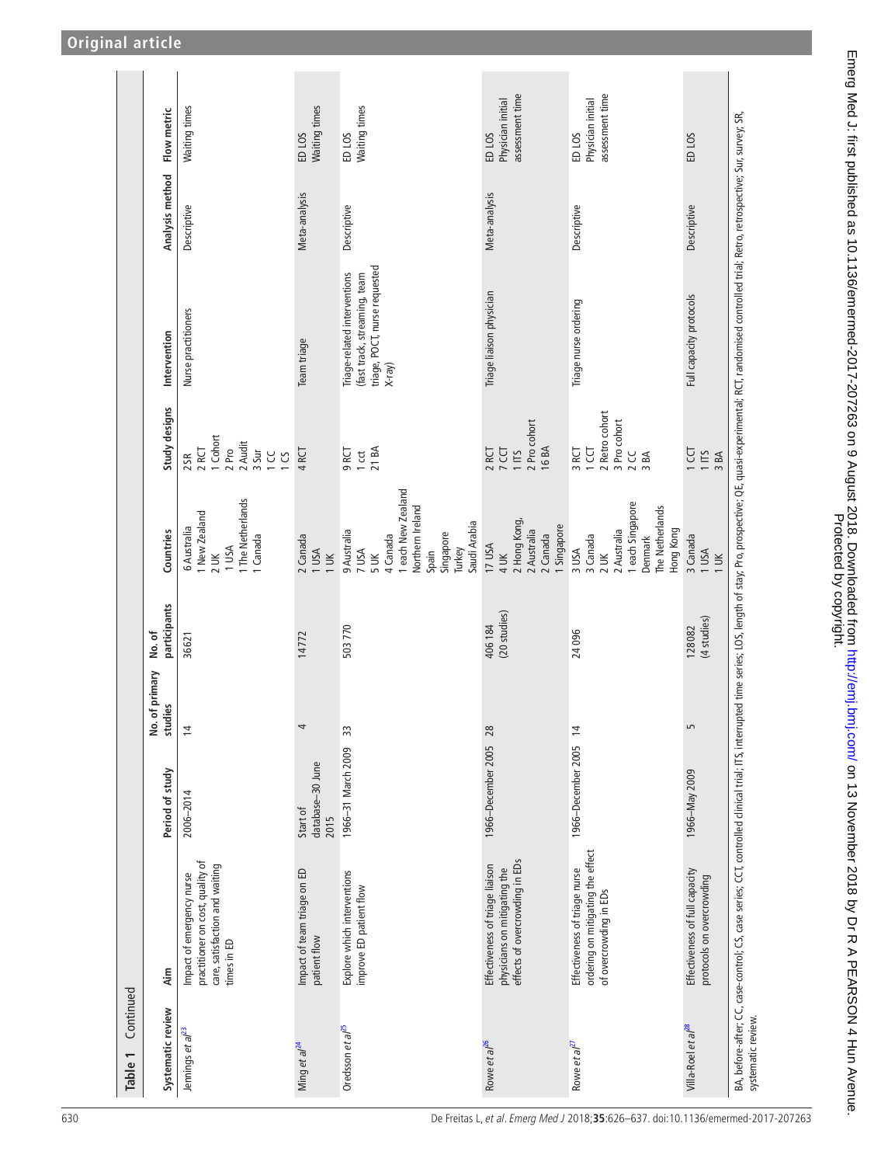| Continued<br>Table 1           |                                                                                                                                                                                                                                |                                      |                                        |                        |                                                                                                                                    |                                                                              |                                                                                                            |                 |                                                           |
|--------------------------------|--------------------------------------------------------------------------------------------------------------------------------------------------------------------------------------------------------------------------------|--------------------------------------|----------------------------------------|------------------------|------------------------------------------------------------------------------------------------------------------------------------|------------------------------------------------------------------------------|------------------------------------------------------------------------------------------------------------|-----------------|-----------------------------------------------------------|
| Systematic review              | Aim                                                                                                                                                                                                                            | Period of study                      | of primary<br>studies<br>$\frac{6}{2}$ | participants<br>No.of  | Countries                                                                                                                          | Study designs                                                                | Intervention                                                                                               | Analysis method | Flow metric                                               |
| Jennings et al <sup>23</sup>   | practitioner on cost, quality of<br>care, satisfaction and waiting<br>Impact of emergency nurse<br>times in ED                                                                                                                 | 2006-2014                            | $\overline{4}$                         | 36621                  | 1 The Netherlands<br>1 New Zealand<br>6 Australia<br>1 Canada<br>1 USA<br>$2$ UK                                                   | 1 Cohort<br>2 Audit<br>2 RCT<br>2 Pro<br>3 Sur<br>1 CC<br>$1\,$ CS<br>$2S$ R | Nurse practitioners                                                                                        | Descriptive     | Waiting times                                             |
| Ming et a $l^2$                | Impact of team triage on ED<br>patient flow                                                                                                                                                                                    | database-30 June<br>Start of<br>2015 | 4                                      | 14772                  | 2 Canada<br>1 USA<br>$1 \times$                                                                                                    | 4RCT                                                                         | Team triage                                                                                                | Meta-analysis   | Waiting times<br>ED <sub>LOS</sub>                        |
| Oredsson et al <sup>25</sup>   | Explore which interventions<br>improve ED patient flow                                                                                                                                                                         | 1966-31 March 2009                   | 33                                     | 503770                 | 1 each New Zealand<br>Northern Ireland<br>Saudi Arabia<br>9 Australia<br>Singapore<br>4 Canada<br>Turkey<br>7 USA<br>Spain<br>5 UK | 21 BA<br>9RCT<br>$1$ cct                                                     | triage, POCT, nurse requested<br>Triage-related interventions<br>(fast track, streaming, team<br>$X$ -ray) | Descriptive     | Waiting times<br>ED LOS                                   |
| Rowe et al <sup>26</sup>       | effects of overcrowding in EDs<br>Effectiveness of triage liaison<br>physicians on mitigating the                                                                                                                              | 1966-December 2005 28                |                                        | (20 studies)<br>406184 | 2 Hong Kong,<br>1 Singapore<br>2 Australia<br>2 Canada<br>17 USA<br>4 UK                                                           | 2 Pro cohort<br>16 BA<br>2 RCT<br>7 CCT<br>1 ITS                             | Triage liaison physician                                                                                   | Meta-analysis   | assessment time<br>Physician initial<br>ED LOS            |
| Rowe et al <sup>27</sup>       | ordering on mitigating the effect<br>Effectiveness of triage nurse<br>of overcrowding in EDs                                                                                                                                   | 1966-December 2005 14                |                                        | 24096                  | 1 each Singapore<br>The Netherlands<br>2 Australia<br>Hong Kong<br>3 Canada<br>Denmark<br>3 USA<br>$2$ UK                          | 2 Retro cohort<br>3 Pro cohort<br>3 RCT<br>1 CCT<br>2 CC<br>3BA              | Triage nurse ordering                                                                                      | Descriptive     | assessment time<br>Physician initial<br>ED <sub>LOS</sub> |
| Villa-Roel et al <sup>28</sup> | Effectiveness of full capacity<br>protocols on overcrowding                                                                                                                                                                    | 1966-May 2009                        | LN                                     | (4 studies)<br>128082  | 3 Canada<br>1 USA<br>$1 \times$                                                                                                    | 1CCT<br>1 ITS<br>3BA                                                         | Full capacity protocols                                                                                    | Descriptive     | ED <sub>LOS</sub>                                         |
| systematic review.             | BA, before-after; CC, case-control; CS, case series; CCT, controlled clinical trial; ITS, interrupted time series; LOS, length of stay; Pro prospective; QE, quasi-experimental; RCT, randomised controlled trial; Retro, retr |                                      |                                        |                        |                                                                                                                                    |                                                                              |                                                                                                            |                 |                                                           |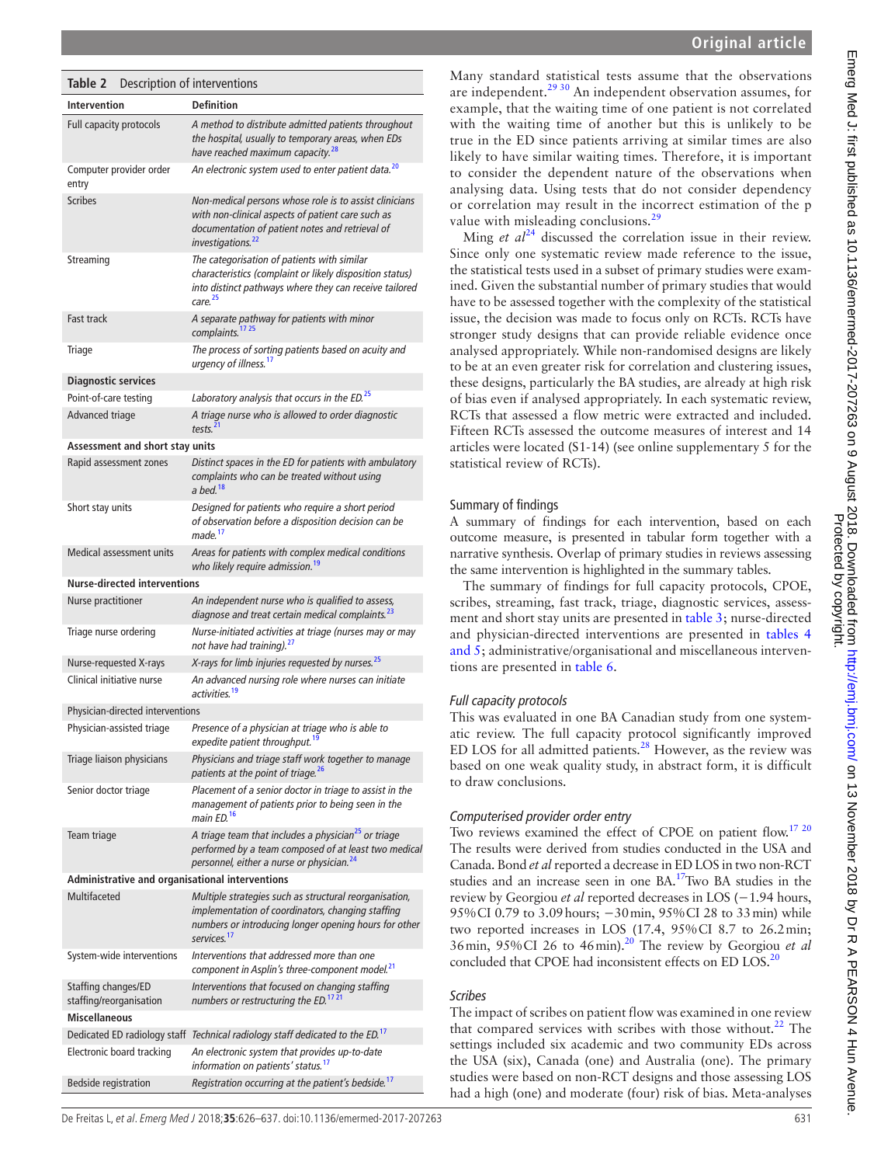Emerg Med J: first published as 10.1136/emermed-2017-207263 on 9 August 2018. Downloaded from http://emj.com/ on 13 November 2018 by Dr R A PEARSON 4 Hun Avenue.

<span id="page-5-0"></span>

| Table 2                                         | Description of interventions                                                                                                                                                                    |
|-------------------------------------------------|-------------------------------------------------------------------------------------------------------------------------------------------------------------------------------------------------|
| <b>Intervention</b>                             | <b>Definition</b>                                                                                                                                                                               |
| Full capacity protocols                         | A method to distribute admitted patients throughout<br>the hospital, usually to temporary areas, when EDs<br>have reached maximum capacity. <sup>28</sup>                                       |
| Computer provider order<br>entry                | An electronic system used to enter patient data. <sup>20</sup>                                                                                                                                  |
| <b>Scribes</b>                                  | Non-medical persons whose role is to assist clinicians<br>with non-clinical aspects of patient care such as<br>documentation of patient notes and retrieval of<br>investigations. <sup>22</sup> |
| Streaming                                       | The categorisation of patients with similar<br>characteristics (complaint or likely disposition status)<br>into distinct pathways where they can receive tailored<br>care. <sup>25</sup>        |
| Fast track                                      | A separate pathway for patients with minor<br>complaints. <sup>17</sup> <sup>25</sup>                                                                                                           |
| Triage                                          | The process of sorting patients based on acuity and<br>urgency of illness. <sup>17</sup>                                                                                                        |
| <b>Diagnostic services</b>                      |                                                                                                                                                                                                 |
| Point-of-care testing                           | Laboratory analysis that occurs in the ED. <sup>25</sup>                                                                                                                                        |
| Advanced triage                                 | A triage nurse who is allowed to order diagnostic<br>tests. $^{21}$                                                                                                                             |
| Assessment and short stay units                 |                                                                                                                                                                                                 |
| Rapid assessment zones                          | Distinct spaces in the ED for patients with ambulatory<br>complaints who can be treated without using<br>a bed. <sup>18</sup>                                                                   |
| Short stay units                                | Designed for patients who require a short period<br>of observation before a disposition decision can be<br>made. <sup>17</sup>                                                                  |
| Medical assessment units                        | Areas for patients with complex medical conditions<br>who likely require admission. <sup>19</sup>                                                                                               |
| <b>Nurse-directed interventions</b>             |                                                                                                                                                                                                 |
| <b>Nurse practitioner</b>                       | An independent nurse who is qualified to assess,<br>diagnose and treat certain medical complaints. <sup>23</sup>                                                                                |
| Triage nurse ordering                           | Nurse-initiated activities at triage (nurses may or may<br>not have had training). <sup>27</sup>                                                                                                |
| Nurse-requested X-rays                          | X-rays for limb injuries requested by nurses. <sup>25</sup>                                                                                                                                     |
| Clinical initiative nurse                       | An advanced nursing role where nurses can initiate<br>activities. <sup>19</sup>                                                                                                                 |
| Physician-directed interventions                |                                                                                                                                                                                                 |
| Physician-assisted triage                       | Presence of a physician at triage who is able to<br>expedite patient throughput. <sup>19</sup>                                                                                                  |
| Triage liaison physicians                       | Physicians and triage staff work together to manage<br>patients at the point of triage. <sup>26</sup>                                                                                           |
| Senior doctor triage                            | Placement of a senior doctor in triage to assist in the<br>management of patients prior to being seen in the<br>main ED. <sup>16</sup>                                                          |
| Team triage                                     | A triage team that includes a physician <sup>25</sup> or triage<br>performed by a team composed of at least two medical<br>personnel, either a nurse or physician. <sup>24</sup>                |
| Administrative and organisational interventions |                                                                                                                                                                                                 |
| Multifaceted                                    | Multiple strategies such as structural reorganisation,<br>implementation of coordinators, changing staffing<br>numbers or introducing longer opening hours for other<br>services. <sup>17</sup> |
| System-wide interventions                       | Interventions that addressed more than one<br>component in Asplin's three-component model. <sup>21</sup>                                                                                        |
| Staffing changes/ED<br>staffing/reorganisation  | Interventions that focused on changing staffing<br>numbers or restructuring the ED. <sup>17 21</sup>                                                                                            |
| Miscellaneous                                   |                                                                                                                                                                                                 |
|                                                 | Dedicated ED radiology staff Technical radiology staff dedicated to the ED. <sup>17</sup>                                                                                                       |
| Electronic board tracking                       | An electronic system that provides up-to-date<br>information on patients' status. <sup>17</sup>                                                                                                 |
| <b>Bedside registration</b>                     | Registration occurring at the patient's bedside. <sup>17</sup>                                                                                                                                  |

Many standard statistical tests assume that the observations are independent.[29 30](#page-11-13) An independent observation assumes, for example, that the waiting time of one patient is not correlated with the waiting time of another but this is unlikely to be true in the ED since patients arriving at similar times are also likely to have similar waiting times. Therefore, it is important to consider the dependent nature of the observations when analysing data. Using tests that do not consider dependency or correlation may result in the incorrect estimation of the p value with misleading conclusions.<sup>[29](#page-11-13)</sup>

Ming *et*  $al^{24}$  $al^{24}$  $al^{24}$  discussed the correlation issue in their review. Since only one systematic review made reference to the issue, the statistical tests used in a subset of primary studies were examined. Given the substantial number of primary studies that would have to be assessed together with the complexity of the statistical issue, the decision was made to focus only on RCTs. RCTs have stronger study designs that can provide reliable evidence once analysed appropriately. While non-randomised designs are likely to be at an even greater risk for correlation and clustering issues, these designs, particularly the BA studies, are already at high risk of bias even if analysed appropriately. In each systematic review, RCTs that assessed a flow metric were extracted and included. Fifteen RCTs assessed the outcome measures of interest and 14 articles were located (S1-14) (see online [supplementary 5](https://dx.doi.org/10.1136/emermed-2017-207263) for the statistical review of RCTs).

## Summary of findings

A summary of findings for each intervention, based on each outcome measure, is presented in tabular form together with a narrative synthesis. Overlap of primary studies in reviews assessing the same intervention is highlighted in the summary tables.

The summary of findings for full capacity protocols, CPOE, scribes, streaming, fast track, triage, diagnostic services, assessment and short stay units are presented in [table](#page-6-0) 3; nurse-directed and physician-directed interventions are presented in [tables](#page-7-0) 4 [and 5](#page-7-0); administrative/organisational and miscellaneous interventions are presented in [table](#page-8-0) 6.

## *Full capacity protocols*

This was evaluated in one BA Canadian study from one systematic review. The full capacity protocol significantly improved ED LOS for all admitted patients. $28$  However, as the review was based on one weak quality study, in abstract form, it is difficult to draw conclusions.

## *Computerised provider order entry*

Two reviews examined the effect of CPOE on patient flow.<sup>[17 20](#page-11-9)</sup> The results were derived from studies conducted in the USA and Canada. Bond *et al* reported a decrease in ED LOS in two non-RCT studies and an increase seen in one BA.<sup>[17](#page-11-9)</sup>Two BA studies in the review by Georgiou *et al* reported decreases in LOS (−1.94 hours, 95%CI 0.79 to 3.09 hours; −30 min, 95%CI 28 to 33 min) while two reported increases in LOS (17.4, 95%CI 8.7 to 26.2min; 36min, 95%CI 26 to 46min).[20](#page-11-11) The review by Georgiou *et al* concluded that CPOE had inconsistent effects on ED LOS.<sup>20</sup>

## *Scribes*

The impact of scribes on patient flow was examined in one review that compared services with scribes with those without. $^{22}$  The settings included six academic and two community EDs across the USA (six), Canada (one) and Australia (one). The primary studies were based on non-RCT designs and those assessing LOS had a high (one) and moderate (four) risk of bias. Meta-analyses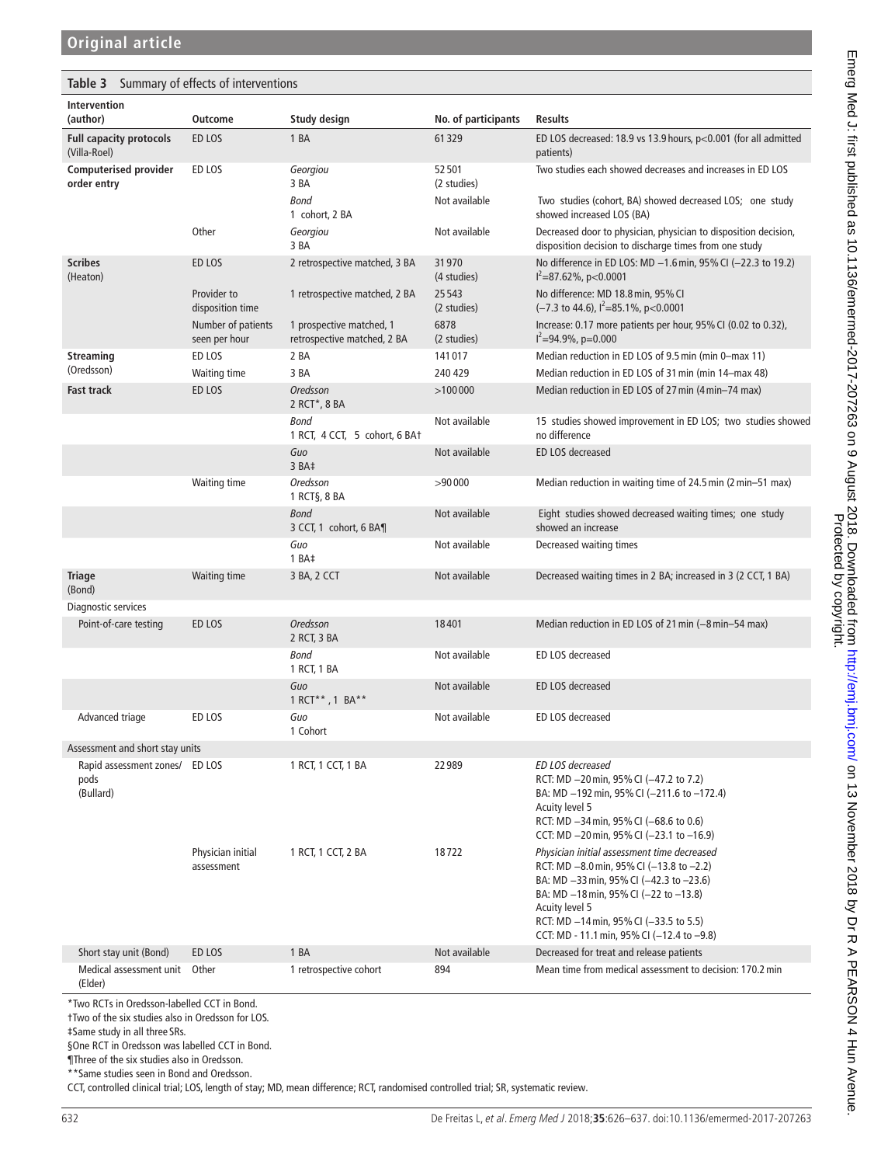<span id="page-6-0"></span>

|  |  |  | <b>Table 3</b> Summary of effects of interventions |
|--|--|--|----------------------------------------------------|
|--|--|--|----------------------------------------------------|

| Intervention<br>(author)                            | <b>Outcome</b>                      | Study design                                            | No. of participants  | <b>Results</b>                                                                                                                                                                                                                                                                                      |
|-----------------------------------------------------|-------------------------------------|---------------------------------------------------------|----------------------|-----------------------------------------------------------------------------------------------------------------------------------------------------------------------------------------------------------------------------------------------------------------------------------------------------|
| <b>Full capacity protocols</b><br>(Villa-Roel)      | ED LOS                              | 1 BA                                                    | 61329                | ED LOS decreased: 18.9 vs 13.9 hours, $p<0.001$ (for all admitted<br>patients)                                                                                                                                                                                                                      |
| <b>Computerised provider</b><br>order entry         | ED LOS                              | Georgiou<br>3 BA                                        | 52501<br>(2 studies) | Two studies each showed decreases and increases in ED LOS                                                                                                                                                                                                                                           |
|                                                     |                                     | <b>Bond</b><br>1 cohort, 2 BA                           | Not available        | Two studies (cohort, BA) showed decreased LOS; one study<br>showed increased LOS (BA)                                                                                                                                                                                                               |
|                                                     | Other                               | Georgiou<br>3 BA                                        | Not available        | Decreased door to physician, physician to disposition decision,<br>disposition decision to discharge times from one study                                                                                                                                                                           |
| <b>Scribes</b><br>(Heaton)                          | ED LOS                              | 2 retrospective matched, 3 BA                           | 31970<br>(4 studies) | No difference in ED LOS: MD -1.6 min, 95% CI (-22.3 to 19.2)<br>$I^2 = 87.62\%$ , p<0.0001                                                                                                                                                                                                          |
|                                                     | Provider to<br>disposition time     | 1 retrospective matched, 2 BA                           | 25543<br>(2 studies) | No difference: MD 18.8 min, 95% CI<br>$(-7.3 \text{ to } 44.6)$ , $1^2 = 85.1\%$ , p<0.0001                                                                                                                                                                                                         |
|                                                     | Number of patients<br>seen per hour | 1 prospective matched, 1<br>retrospective matched, 2 BA | 6878<br>(2 studies)  | Increase: 0.17 more patients per hour, 95% CI (0.02 to 0.32),<br>$I^2 = 94.9\%$ , p=0.000                                                                                                                                                                                                           |
| Streaming                                           | ED LOS                              | 2 BA                                                    | 141017               | Median reduction in ED LOS of 9.5 min (min 0-max 11)                                                                                                                                                                                                                                                |
| (Oredsson)                                          | Waiting time                        | 3 BA                                                    | 240 429              | Median reduction in ED LOS of 31 min (min 14–max 48)                                                                                                                                                                                                                                                |
| <b>Fast track</b>                                   | ED LOS                              | Oredsson<br>2 RCT*, 8 BA                                | >100000              | Median reduction in ED LOS of 27 min (4 min-74 max)                                                                                                                                                                                                                                                 |
|                                                     |                                     | <b>Bond</b><br>1 RCT, 4 CCT, 5 cohort, 6 BA+            | Not available        | 15 studies showed improvement in ED LOS; two studies showed<br>no difference                                                                                                                                                                                                                        |
|                                                     |                                     | Guo<br>3 BA‡                                            | Not available        | ED LOS decreased                                                                                                                                                                                                                                                                                    |
|                                                     | <b>Waiting time</b>                 | Oredsson<br>1 RCT§, 8 BA                                | >90000               | Median reduction in waiting time of 24.5 min (2 min-51 max)                                                                                                                                                                                                                                         |
|                                                     |                                     | <b>Bond</b><br>3 CCT, 1 cohort, 6 BA¶                   | Not available        | Eight studies showed decreased waiting times; one study<br>showed an increase                                                                                                                                                                                                                       |
|                                                     |                                     | Guo<br>1 BAt                                            | Not available        | Decreased waiting times                                                                                                                                                                                                                                                                             |
| <b>Triage</b><br>(Bond)                             | Waiting time                        | 3 BA, 2 CCT                                             | Not available        | Decreased waiting times in 2 BA; increased in 3 (2 CCT, 1 BA)                                                                                                                                                                                                                                       |
| Diagnostic services                                 |                                     |                                                         |                      |                                                                                                                                                                                                                                                                                                     |
| Point-of-care testing                               | ED LOS                              | <b>Oredsson</b><br>2 RCT, 3 BA                          | 18401                | Median reduction in ED LOS of 21 min (-8 min-54 max)                                                                                                                                                                                                                                                |
|                                                     |                                     | <b>Bond</b><br>1 RCT, 1 BA                              | Not available        | ED LOS decreased                                                                                                                                                                                                                                                                                    |
|                                                     |                                     | Guo<br>1 RCT**, 1 BA**                                  | Not available        | ED LOS decreased                                                                                                                                                                                                                                                                                    |
| Advanced triage                                     | ED LOS                              | Guo<br>1 Cohort                                         | Not available        | ED LOS decreased                                                                                                                                                                                                                                                                                    |
| Assessment and short stay units                     |                                     |                                                         |                      |                                                                                                                                                                                                                                                                                                     |
| Rapid assessment zones/ ED LOS<br>pods<br>(Bullard) |                                     | 1 RCT, 1 CCT, 1 BA                                      | 22989                | ED LOS decreased<br>RCT: MD -20 min, 95% CI (-47.2 to 7.2)<br>BA: MD -192 min, 95% CI (-211.6 to -172.4)<br>Acuity level 5<br>RCT: MD -34 min, 95% CI (-68.6 to 0.6)<br>CCT: MD -20 min, 95% CI (-23.1 to -16.9)                                                                                    |
|                                                     | Physician initial<br>assessment     | 1 RCT, 1 CCT, 2 BA                                      | 18722                | Physician initial assessment time decreased<br>RCT: MD $-8.0$ min, 95% CI ( $-13.8$ to $-2.2$ )<br>BA: MD -33 min, 95% CI (-42.3 to -23.6)<br>BA: MD -18 min, 95% CI (-22 to -13.8)<br>Acuity level 5<br>RCT: MD -14 min, 95% CI (-33.5 to 5.5)<br>CCT: MD - 11.1 min, 95% CI ( $-12.4$ to $-9.8$ ) |
| Short stay unit (Bond)                              | ED LOS                              | 1 BA                                                    | Not available        | Decreased for treat and release patients                                                                                                                                                                                                                                                            |
| Medical assessment unit<br>(Elder)                  | Other                               | 1 retrospective cohort                                  | 894                  | Mean time from medical assessment to decision: 170.2 min                                                                                                                                                                                                                                            |

\*Two RCTs in Oredsson-labelled CCT in Bond.

†Two of the six studies also in Oredsson for LOS.

‡Same study in all three SRs.

§One RCT in Oredsson was labelled CCT in Bond.

¶Three of the six studies also in Oredsson.

\*\*Same studies seen in Bond and Oredsson.

CCT, controlled clinical trial; LOS, length of stay; MD, mean difference; RCT, randomised controlled trial; SR, systematic review.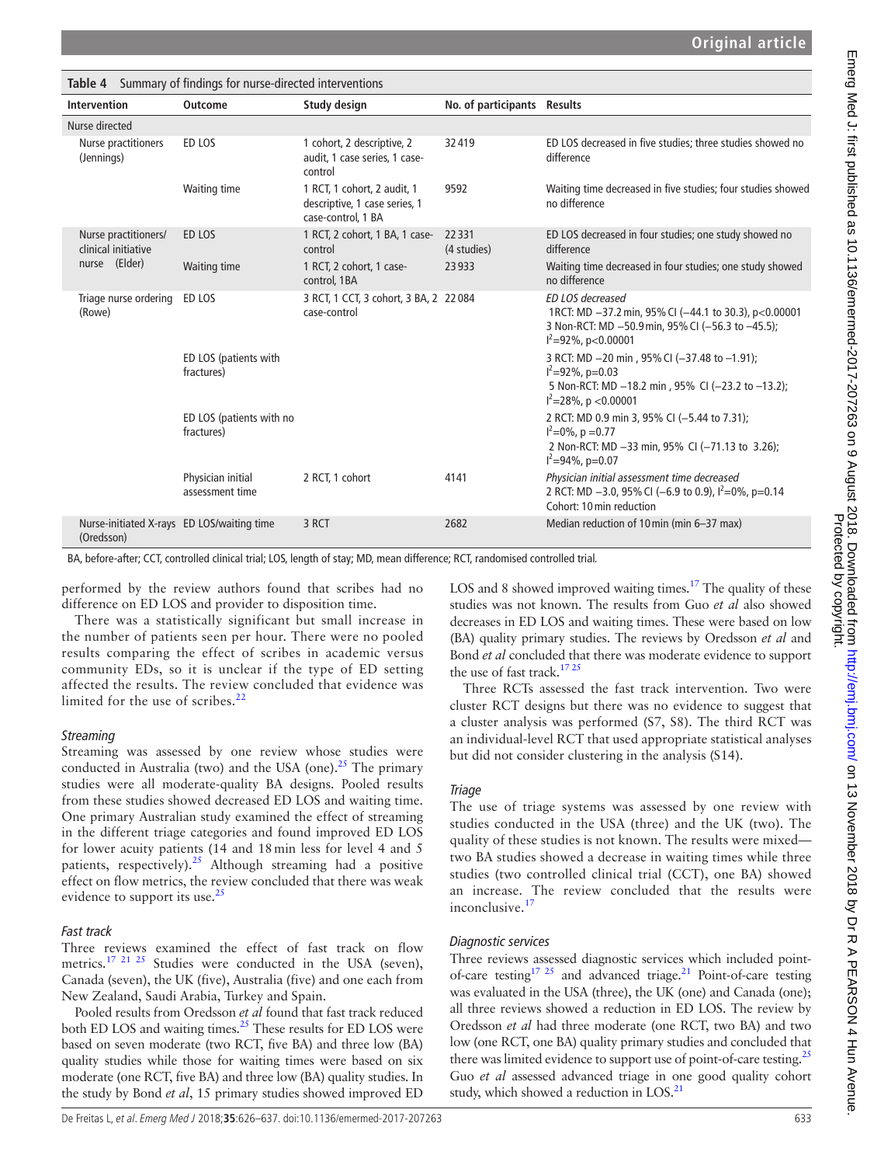<span id="page-7-0"></span>

|                                                          | <b>Table 4</b> Summary of findings for nurse-directed interventions |                                                                                    |                             |                                                                                                                                                            |
|----------------------------------------------------------|---------------------------------------------------------------------|------------------------------------------------------------------------------------|-----------------------------|------------------------------------------------------------------------------------------------------------------------------------------------------------|
| Intervention                                             | <b>Outcome</b>                                                      | Study design                                                                       | No. of participants Results |                                                                                                                                                            |
| Nurse directed                                           |                                                                     |                                                                                    |                             |                                                                                                                                                            |
| Nurse practitioners<br>(Jennings)                        | ED LOS                                                              | 1 cohort, 2 descriptive, 2<br>audit, 1 case series, 1 case-<br>control             | 32419                       | ED LOS decreased in five studies; three studies showed no<br>difference                                                                                    |
|                                                          | Waiting time                                                        | 1 RCT, 1 cohort, 2 audit, 1<br>descriptive, 1 case series, 1<br>case-control, 1 BA | 9592                        | Waiting time decreased in five studies; four studies showed<br>no difference                                                                               |
| Nurse practitioners/<br>clinical initiative              | ED LOS                                                              | 1 RCT, 2 cohort, 1 BA, 1 case-<br>control                                          | 22331<br>(4 studies)        | ED LOS decreased in four studies; one study showed no<br>difference                                                                                        |
| nurse (Elder)                                            | Waiting time                                                        | 1 RCT, 2 cohort, 1 case-<br>control, 1BA                                           | 23933                       | Waiting time decreased in four studies; one study showed<br>no difference                                                                                  |
| Triage nurse ordering<br>(Rowe)                          | ED LOS                                                              | 3 RCT, 1 CCT, 3 cohort, 3 BA, 2 22 084<br>case-control                             |                             | ED LOS decreased<br>1RCT: MD -37.2 min, 95% CI (-44.1 to 30.3), p<0.00001<br>3 Non-RCT: MD -50.9 min, 95% CI (-56.3 to -45.5);<br>$I^2 = 92\%$ , p<0.00001 |
|                                                          | ED LOS (patients with<br>fractures)                                 |                                                                                    |                             | 3 RCT: MD -20 min, 95% CI (-37.48 to -1.91);<br>$I^2 = 92\%$ , p=0.03<br>5 Non-RCT: MD -18.2 min, 95% CI (-23.2 to -13.2);<br>$I^2 = 28\%$ , p < 0.00001   |
|                                                          | ED LOS (patients with no<br>fractures)                              |                                                                                    |                             | 2 RCT: MD 0.9 min 3, 95% CI (-5.44 to 7.31);<br>$I^2=0\%$ , p = 0.77<br>2 Non-RCT: MD -33 min, 95% CI (-71.13 to 3.26);<br>$I^2 = 94\%$ , p=0.07           |
|                                                          | Physician initial<br>assessment time                                | 2 RCT, 1 cohort                                                                    | 4141                        | Physician initial assessment time decreased<br>2 RCT: MD -3.0, 95% CI (-6.9 to 0.9), $I^2=0\%$ , p=0.14<br>Cohort: 10 min reduction                        |
| Nurse-initiated X-rays ED LOS/waiting time<br>(Oredsson) |                                                                     | 3 RCT                                                                              | 2682                        | Median reduction of 10 min (min 6-37 max)                                                                                                                  |

BA, before-after; CCT, controlled clinical trial; LOS, length of stay; MD, mean difference; RCT, randomised controlled trial.

performed by the review authors found that scribes had no difference on ED LOS and provider to disposition time.

There was a statistically significant but small increase in the number of patients seen per hour. There were no pooled results comparing the effect of scribes in academic versus community EDs, so it is unclear if the type of ED setting affected the results. The review concluded that evidence was limited for the use of scribes. $<sup>2</sup>$ </sup>

## *Streaming*

Streaming was assessed by one review whose studies were conducted in Australia (two) and the USA (one).<sup>25</sup> The primary studies were all moderate-quality BA designs. Pooled results from these studies showed decreased ED LOS and waiting time. One primary Australian study examined the effect of streaming in the different triage categories and found improved ED LOS for lower acuity patients (14 and 18min less for level 4 and 5 patients, respectively).<sup>25</sup> Although streaming had a positive effect on flow metrics, the review concluded that there was weak evidence to support its use. $^{25}$  $^{25}$  $^{25}$ 

## *Fast track*

Three reviews examined the effect of fast track on flow metrics.<sup>17 21 25</sup> Studies were conducted in the USA (seven), Canada (seven), the UK (five), Australia (five) and one each from New Zealand, Saudi Arabia, Turkey and Spain.

Pooled results from Oredsson *et al* found that fast track reduced both ED LOS and waiting times.<sup>[25](#page-11-18)</sup> These results for ED LOS were based on seven moderate (two RCT, five BA) and three low (BA) quality studies while those for waiting times were based on six moderate (one RCT, five BA) and three low (BA) quality studies. In the study by Bond *et al*, 15 primary studies showed improved ED

LOS and 8 showed improved waiting times.<sup>17</sup> The quality of these studies was not known. The results from Guo *et al* also showed decreases in ED LOS and waiting times. These were based on low (BA) quality primary studies. The reviews by Oredsson *et al* and Bond *et al* concluded that there was moderate evidence to support the use of fast track.<sup>1725</sup>

Three RCTs assessed the fast track intervention. Two were cluster RCT designs but there was no evidence to suggest that a cluster analysis was performed (S7, S8). The third RCT was an individual-level RCT that used appropriate statistical analyses but did not consider clustering in the analysis (S14).

## *Triage*

The use of triage systems was assessed by one review with studies conducted in the USA (three) and the UK (two). The quality of these studies is not known. The results were mixed two BA studies showed a decrease in waiting times while three studies (two controlled clinical trial (CCT), one BA) showed an increase. The review concluded that the results were inconclusive.<sup>[17](#page-11-9)</sup>

## *Diagnostic services*

Three reviews assessed diagnostic services which included point-of-care testing<sup>17 25</sup> and advanced triage.<sup>[21](#page-11-15)</sup> Point-of-care testing was evaluated in the USA (three), the UK (one) and Canada (one); all three reviews showed a reduction in ED LOS. The review by Oredsson *et al* had three moderate (one RCT, two BA) and two low (one RCT, one BA) quality primary studies and concluded that there was limited evidence to support use of point-of-care testing.<sup>[25](#page-11-18)</sup> Guo *et al* assessed advanced triage in one good quality cohort study, which showed a reduction in  $LOS.^{21}$ .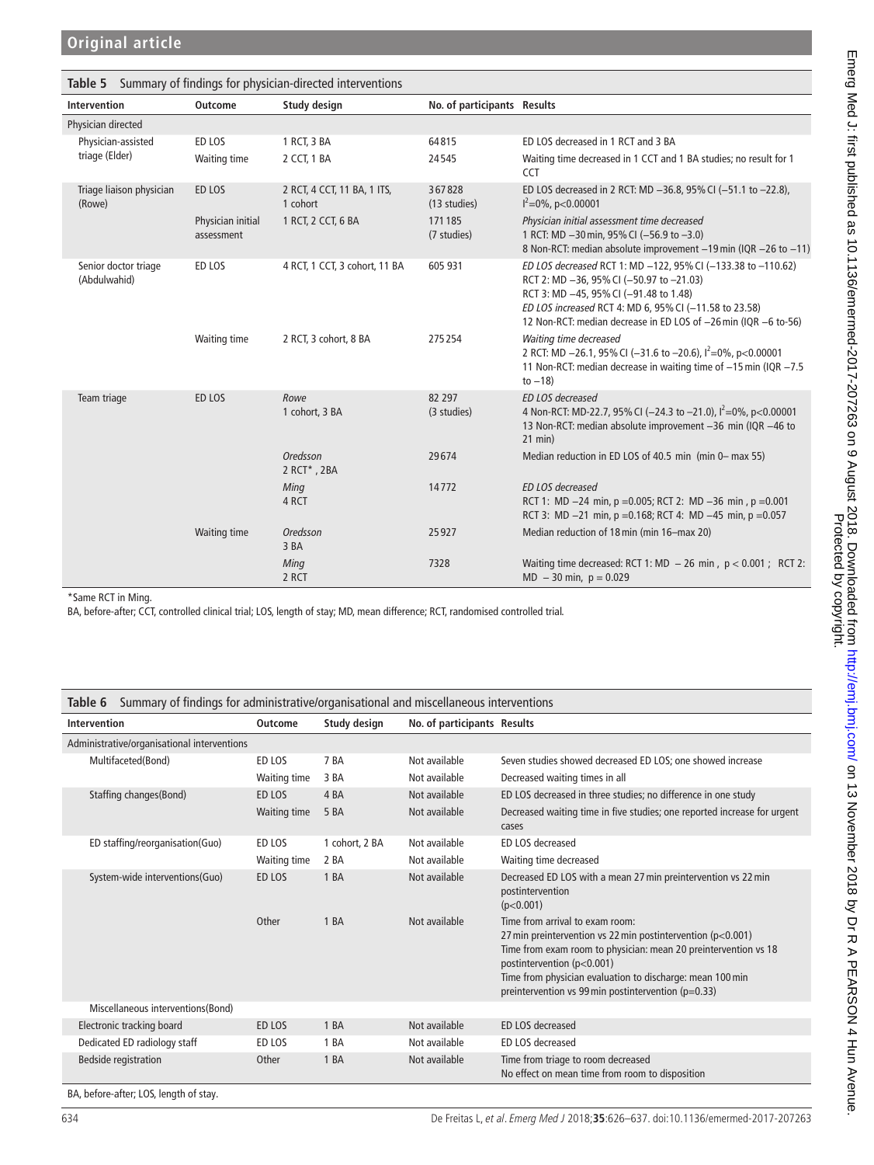| <b>Intervention</b>                  | Outcome                         | Study design                            | No. of participants Results |                                                                                                                                                                                                                                                                                 |
|--------------------------------------|---------------------------------|-----------------------------------------|-----------------------------|---------------------------------------------------------------------------------------------------------------------------------------------------------------------------------------------------------------------------------------------------------------------------------|
| Physician directed                   |                                 |                                         |                             |                                                                                                                                                                                                                                                                                 |
| Physician-assisted                   | ED LOS                          | 1 RCT, 3 BA                             | 64815                       | ED LOS decreased in 1 RCT and 3 BA                                                                                                                                                                                                                                              |
| triage (Elder)                       | Waiting time                    | 2 CCT, 1 BA                             | 24545                       | Waiting time decreased in 1 CCT and 1 BA studies; no result for 1<br><b>CCT</b>                                                                                                                                                                                                 |
| Triage liaison physician<br>(Rowe)   | ED LOS                          | 2 RCT, 4 CCT, 11 BA, 1 ITS,<br>1 cohort | 367828<br>(13 studies)      | ED LOS decreased in 2 RCT: MD -36.8, 95% CI (-51.1 to -22.8),<br>$I^2=0\%$ , p<0.00001                                                                                                                                                                                          |
|                                      | Physician initial<br>assessment | 1 RCT, 2 CCT, 6 BA                      | 171185<br>(7 studies)       | Physician initial assessment time decreased<br>1 RCT: MD -30 min, 95% CI (-56.9 to -3.0)<br>8 Non-RCT: median absolute improvement -19 min (IQR -26 to -11)                                                                                                                     |
| Senior doctor triage<br>(Abdulwahid) | ED LOS                          | 4 RCT, 1 CCT, 3 cohort, 11 BA           | 605 931                     | ED LOS decreased RCT 1: MD -122, 95% CI (-133.38 to -110.62)<br>RCT 2: MD -36, 95% CI (-50.97 to -21.03)<br>RCT 3: MD -45, 95% CI (-91.48 to 1.48)<br>ED LOS increased RCT 4: MD 6, 95% CI (-11.58 to 23.58)<br>12 Non-RCT: median decrease in ED LOS of -26 min (IQR -6 to-56) |
|                                      | Waiting time                    | 2 RCT, 3 cohort, 8 BA                   | 275254                      | Waiting time decreased<br>2 RCT: MD -26.1, 95% CI (-31.6 to -20.6), $I^2=0\%$ , p<0.00001<br>11 Non-RCT: median decrease in waiting time of -15 min (IQR -7.5<br>to $-18$ )                                                                                                     |
| Team triage                          | ED LOS                          | Rowe<br>1 cohort, 3 BA                  | 82 297<br>(3 studies)       | ED LOS decreased<br>4 Non-RCT: MD-22.7, 95% CI (-24.3 to -21.0), $I^2=0\%$ , p<0.00001<br>13 Non-RCT: median absolute improvement -36 min (IQR -46 to<br>$21$ min $)$                                                                                                           |
|                                      |                                 | <b>Oredsson</b><br>2 RCT*, 2BA          | 29674                       | Median reduction in ED LOS of 40.5 min (min 0– max 55)                                                                                                                                                                                                                          |
|                                      |                                 | Ming<br>4 RCT                           | 14772                       | ED LOS decreased<br>RCT 1: MD $-24$ min, p = 0.005; RCT 2: MD $-36$ min, p = 0.001<br>RCT 3: MD $-21$ min, p = 0.168; RCT 4: MD $-45$ min, p = 0.057                                                                                                                            |
|                                      | <b>Waiting time</b>             | Oredsson<br>3 BA                        | 25927                       | Median reduction of 18 min (min 16-max 20)                                                                                                                                                                                                                                      |
|                                      |                                 | Ming<br>2 RCT                           | 7328                        | Waiting time decreased: RCT 1: MD $-$ 26 min, $p < 0.001$ ; RCT 2:<br>$MD - 30$ min, $p = 0.029$                                                                                                                                                                                |

\*Same RCT in Ming.

BA, before-after; CCT, controlled clinical trial; LOS, length of stay; MD, mean difference; RCT, randomised controlled trial.

<span id="page-8-0"></span>

|  |  |  | Table 6 Summary of findings for administrative/organisational and miscellaneous interventions |
|--|--|--|-----------------------------------------------------------------------------------------------|
|--|--|--|-----------------------------------------------------------------------------------------------|

| Administrative/organisational interventions |              |                 |               |                                                                                                                                                                                                                                                                                                                             |
|---------------------------------------------|--------------|-----------------|---------------|-----------------------------------------------------------------------------------------------------------------------------------------------------------------------------------------------------------------------------------------------------------------------------------------------------------------------------|
| Multifaceted(Bond)                          | ED LOS       | 7 <sub>BA</sub> | Not available | Seven studies showed decreased ED LOS; one showed increase                                                                                                                                                                                                                                                                  |
|                                             | Waiting time | 3 BA            | Not available | Decreased waiting times in all                                                                                                                                                                                                                                                                                              |
| Staffing changes (Bond)                     | ED LOS       | 4 <sub>BA</sub> | Not available | ED LOS decreased in three studies; no difference in one study                                                                                                                                                                                                                                                               |
|                                             | Waiting time | 5 <sub>BA</sub> | Not available | Decreased waiting time in five studies; one reported increase for urgent<br>cases                                                                                                                                                                                                                                           |
| ED staffing/reorganisation(Guo)             | ED LOS       | 1 cohort, 2 BA  | Not available | ED LOS decreased                                                                                                                                                                                                                                                                                                            |
|                                             | Waiting time | 2 BA            | Not available | Waiting time decreased                                                                                                                                                                                                                                                                                                      |
| System-wide interventions(Guo)              | ED LOS       | 1 BA            | Not available | Decreased ED LOS with a mean 27 min preintervention vs 22 min<br>postintervention<br>(p<0.001)                                                                                                                                                                                                                              |
|                                             | Other        | 1BA             | Not available | Time from arrival to exam room:<br>27 min preintervention vs 22 min postintervention ( $p<0.001$ )<br>Time from exam room to physician: mean 20 preintervention vs 18<br>postintervention (p<0.001)<br>Time from physician evaluation to discharge: mean 100 min<br>preintervention vs 99 min postintervention ( $p=0.33$ ) |
| Miscellaneous interventions (Bond)          |              |                 |               |                                                                                                                                                                                                                                                                                                                             |
| Electronic tracking board                   | ED LOS       | 1 BA            | Not available | ED LOS decreased                                                                                                                                                                                                                                                                                                            |
| Dedicated ED radiology staff                | ED LOS       | 1 BA            | Not available | ED LOS decreased                                                                                                                                                                                                                                                                                                            |
| <b>Bedside registration</b>                 | Other        | 1 BA            | Not available | Time from triage to room decreased<br>No effect on mean time from room to disposition                                                                                                                                                                                                                                       |

BA, before-after; LOS, length of stay.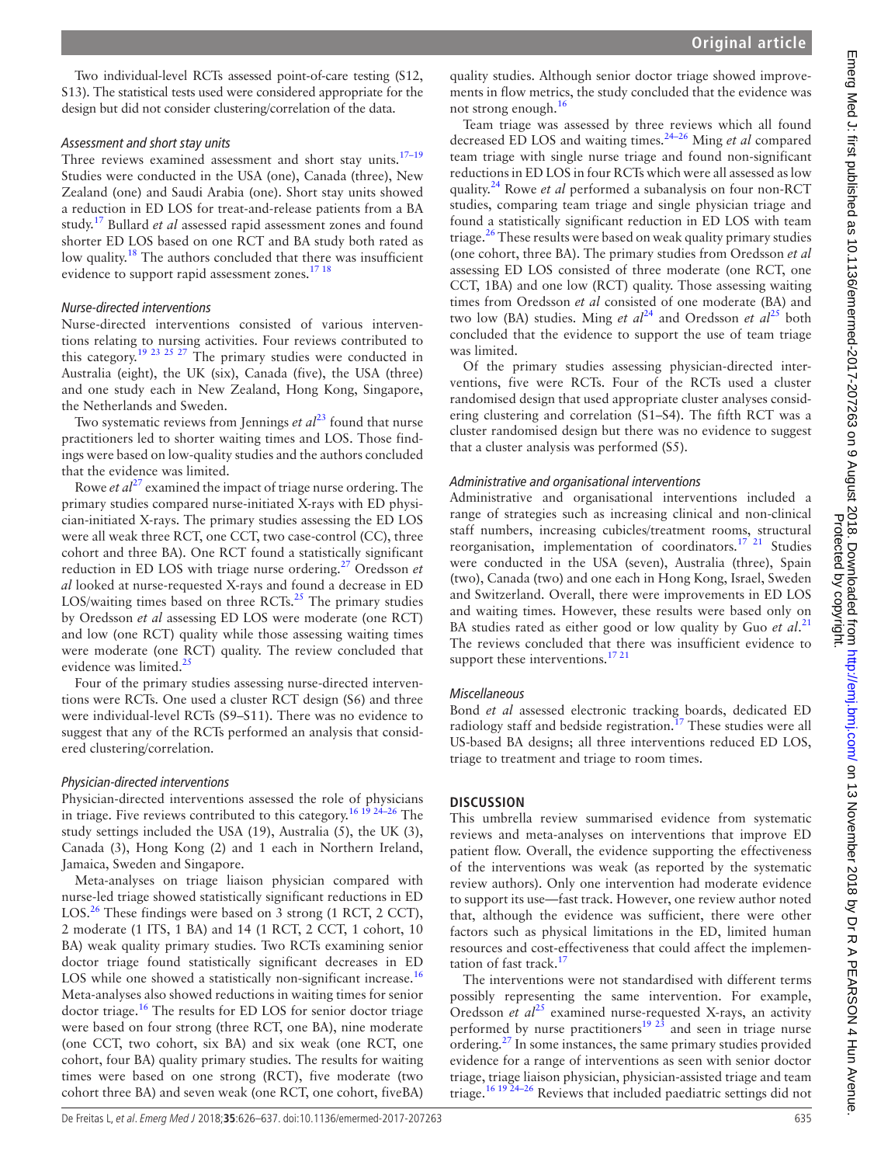Two individual-level RCTs assessed point-of-care testing (S12, S13). The statistical tests used were considered appropriate for the design but did not consider clustering/correlation of the data.

#### *Assessment and short stay units*

Three reviews examined assessment and short stay units. $17-19$ Studies were conducted in the USA (one), Canada (three), New Zealand (one) and Saudi Arabia (one). Short stay units showed a reduction in ED LOS for treat-and-release patients from a BA study.[17](#page-11-9) Bullard *et al* assessed rapid assessment zones and found shorter ED LOS based on one RCT and BA study both rated as low quality.<sup>18</sup> The authors concluded that there was insufficient evidence to support rapid assessment zones.<sup>[17 18](#page-11-9)</sup>

## *Nurse-directed interventions*

Nurse-directed interventions consisted of various interventions relating to nursing activities. Four reviews contributed to this category.<sup>19 23 25 27</sup> The primary studies were conducted in Australia (eight), the UK (six), Canada (five), the USA (three) and one study each in New Zealand, Hong Kong, Singapore, the Netherlands and Sweden.

Two systematic reviews from Jennings *et al*<sup>[23](#page-11-12)</sup> found that nurse practitioners led to shorter waiting times and LOS. Those findings were based on low-quality studies and the authors concluded that the evidence was limited.

Rowe *et al*<sup>[27](#page-11-20)</sup> examined the impact of triage nurse ordering. The primary studies compared nurse-initiated X-rays with ED physician-initiated X-rays. The primary studies assessing the ED LOS were all weak three RCT, one CCT, two case-control (CC), three cohort and three BA). One RCT found a statistically significant reduction in ED LOS with triage nurse ordering.[27](#page-11-20) Oredsson *et al* looked at nurse-requested X-rays and found a decrease in ED LOS/waiting times based on three RCTs. $^{25}$  $^{25}$  $^{25}$  The primary studies by Oredsson *et al* assessing ED LOS were moderate (one RCT) and low (one RCT) quality while those assessing waiting times were moderate (one RCT) quality. The review concluded that evidence was limited.<sup>25</sup>

Four of the primary studies assessing nurse-directed interventions were RCTs. One used a cluster RCT design (S6) and three were individual-level RCTs (S9–S11). There was no evidence to suggest that any of the RCTs performed an analysis that considered clustering/correlation.

## *Physician-directed interventions*

Physician-directed interventions assessed the role of physicians in triage. Five reviews contributed to this category.<sup>16 19</sup>  $24-26$  The study settings included the USA (19), Australia (5), the UK (3), Canada (3), Hong Kong (2) and 1 each in Northern Ireland, Jamaica, Sweden and Singapore.

Meta-analyses on triage liaison physician compared with nurse-led triage showed statistically significant reductions in ED LOS.<sup>[26](#page-11-19)</sup> These findings were based on 3 strong (1 RCT, 2 CCT), 2 moderate (1 ITS, 1 BA) and 14 (1 RCT, 2 CCT, 1 cohort, 10 BA) weak quality primary studies. Two RCTs examining senior doctor triage found statistically significant decreases in ED LOS while one showed a statistically non-significant increase.<sup>[16](#page-11-8)</sup> Meta-analyses also showed reductions in waiting times for senior doctor triage.[16](#page-11-8) The results for ED LOS for senior doctor triage were based on four strong (three RCT, one BA), nine moderate (one CCT, two cohort, six BA) and six weak (one RCT, one cohort, four BA) quality primary studies. The results for waiting times were based on one strong (RCT), five moderate (two cohort three BA) and seven weak (one RCT, one cohort, fiveBA)

quality studies. Although senior doctor triage showed improvements in flow metrics, the study concluded that the evidence was not strong enough.[16](#page-11-8)

Team triage was assessed by three reviews which all found decreased ED LOS and waiting times.[24–26](#page-11-17) Ming *et al* compared team triage with single nurse triage and found non-significant reductions in ED LOS in four RCTs which were all assessed as low quality.[24](#page-11-17) Rowe *et al* performed a subanalysis on four non-RCT studies, comparing team triage and single physician triage and found a statistically significant reduction in ED LOS with team triage.<sup>26</sup> These results were based on weak quality primary studies (one cohort, three BA). The primary studies from Oredsson *et al* assessing ED LOS consisted of three moderate (one RCT, one CCT, 1BA) and one low (RCT) quality. Those assessing waiting times from Oredsson *et al* consisted of one moderate (BA) and two low (BA) studies. Ming *et al*<sup>24</sup> and Oredsson *et al*<sup>25</sup> both concluded that the evidence to support the use of team triage was limited.

Of the primary studies assessing physician-directed interventions, five were RCTs. Four of the RCTs used a cluster randomised design that used appropriate cluster analyses considering clustering and correlation (S1–S4). The fifth RCT was a cluster randomised design but there was no evidence to suggest that a cluster analysis was performed (S5).

## *Administrative and organisational interventions*

Administrative and organisational interventions included a range of strategies such as increasing clinical and non-clinical staff numbers, increasing cubicles/treatment rooms, structural reorganisation, implementation of coordinators.<sup>17 21</sup> Studies were conducted in the USA (seven), Australia (three), Spain (two), Canada (two) and one each in Hong Kong, Israel, Sweden and Switzerland. Overall, there were improvements in ED LOS and waiting times. However, these results were based only on BA studies rated as either good or low quality by Guo *et al*. [21](#page-11-15) The reviews concluded that there was insufficient evidence to support these interventions.<sup>[17 21](#page-11-9)</sup>

## *Miscellaneous*

Bond *et al* assessed electronic tracking boards, dedicated ED radiology staff and bedside registration.<sup>[17](#page-11-9)</sup> These studies were all US-based BA designs; all three interventions reduced ED LOS, triage to treatment and triage to room times.

## **Discussion**

This umbrella review summarised evidence from systematic reviews and meta-analyses on interventions that improve ED patient flow. Overall, the evidence supporting the effectiveness of the interventions was weak (as reported by the systematic review authors). Only one intervention had moderate evidence to support its use—fast track. However, one review author noted that, although the evidence was sufficient, there were other factors such as physical limitations in the ED, limited human resources and cost-effectiveness that could affect the implementation of fast track.<sup>17</sup>

The interventions were not standardised with different terms possibly representing the same intervention. For example, Oredsson *et al*<sup>25</sup> examined nurse-requested X-rays, an activity performed by nurse practitioners<sup>[19 23](#page-11-10)</sup> and seen in triage nurse ordering.[27](#page-11-20) In some instances, the same primary studies provided evidence for a range of interventions as seen with senior doctor triage, triage liaison physician, physician-assisted triage and team triage.[16 19 24–26](#page-11-8) Reviews that included paediatric settings did not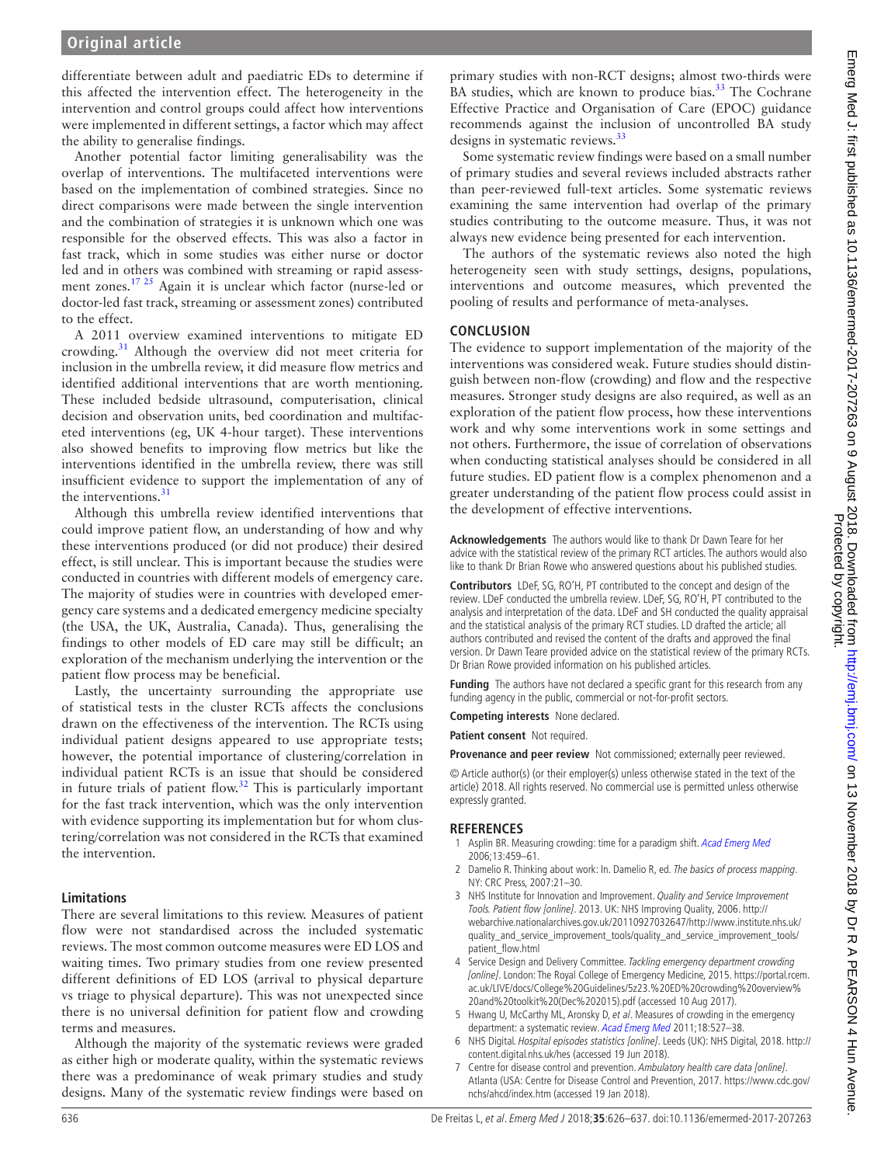## **Original article**

differentiate between adult and paediatric EDs to determine if this affected the intervention effect. The heterogeneity in the intervention and control groups could affect how interventions were implemented in different settings, a factor which may affect the ability to generalise findings.

Another potential factor limiting generalisability was the overlap of interventions. The multifaceted interventions were based on the implementation of combined strategies. Since no direct comparisons were made between the single intervention and the combination of strategies it is unknown which one was responsible for the observed effects. This was also a factor in fast track, which in some studies was either nurse or doctor led and in others was combined with streaming or rapid assessment zones.<sup>17 25</sup> Again it is unclear which factor (nurse-led or doctor-led fast track, streaming or assessment zones) contributed to the effect.

A 2011 overview examined interventions to mitigate ED crowding.[31](#page-11-22) Although the overview did not meet criteria for inclusion in the umbrella review, it did measure flow metrics and identified additional interventions that are worth mentioning. These included bedside ultrasound, computerisation, clinical decision and observation units, bed coordination and multifaceted interventions (eg, UK 4-hour target). These interventions also showed benefits to improving flow metrics but like the interventions identified in the umbrella review, there was still insufficient evidence to support the implementation of any of the interventions.<sup>[31](#page-11-22)</sup>

Although this umbrella review identified interventions that could improve patient flow, an understanding of how and why these interventions produced (or did not produce) their desired effect, is still unclear. This is important because the studies were conducted in countries with different models of emergency care. The majority of studies were in countries with developed emergency care systems and a dedicated emergency medicine specialty (the USA, the UK, Australia, Canada). Thus, generalising the findings to other models of ED care may still be difficult; an exploration of the mechanism underlying the intervention or the patient flow process may be beneficial.

Lastly, the uncertainty surrounding the appropriate use of statistical tests in the cluster RCTs affects the conclusions drawn on the effectiveness of the intervention. The RCTs using individual patient designs appeared to use appropriate tests; however, the potential importance of clustering/correlation in individual patient RCTs is an issue that should be considered in future trials of patient flow.<sup>[32](#page-11-23)</sup> This is particularly important for the fast track intervention, which was the only intervention with evidence supporting its implementation but for whom clustering/correlation was not considered in the RCTs that examined the intervention.

#### **Limitations**

There are several limitations to this review. Measures of patient flow were not standardised across the included systematic reviews. The most common outcome measures were ED LOS and waiting times. Two primary studies from one review presented different definitions of ED LOS (arrival to physical departure vs triage to physical departure). This was not unexpected since there is no universal definition for patient flow and crowding terms and measures.

Although the majority of the systematic reviews were graded as either high or moderate quality, within the systematic reviews there was a predominance of weak primary studies and study designs. Many of the systematic review findings were based on

primary studies with non-RCT designs; almost two-thirds were BA studies, which are known to produce bias.<sup>[33](#page-11-24)</sup> The Cochrane Effective Practice and Organisation of Care (EPOC) guidance recommends against the inclusion of uncontrolled BA study designs in systematic reviews.<sup>[33](#page-11-24)</sup>

Some systematic review findings were based on a small number of primary studies and several reviews included abstracts rather than peer-reviewed full-text articles. Some systematic reviews examining the same intervention had overlap of the primary studies contributing to the outcome measure. Thus, it was not always new evidence being presented for each intervention.

The authors of the systematic reviews also noted the high heterogeneity seen with study settings, designs, populations, interventions and outcome measures, which prevented the pooling of results and performance of meta-analyses.

#### **Conclusion**

The evidence to support implementation of the majority of the interventions was considered weak. Future studies should distinguish between non-flow (crowding) and flow and the respective measures. Stronger study designs are also required, as well as an exploration of the patient flow process, how these interventions work and why some interventions work in some settings and not others. Furthermore, the issue of correlation of observations when conducting statistical analyses should be considered in all future studies. ED patient flow is a complex phenomenon and a greater understanding of the patient flow process could assist in the development of effective interventions.

**Acknowledgements** The authors would like to thank Dr Dawn Teare for her advice with the statistical review of the primary RCT articles. The authors would also like to thank Dr Brian Rowe who answered questions about his published studies.

**Contributors** LDeF, SG, RO'H, PT contributed to the concept and design of the review. LDeF conducted the umbrella review. LDeF, SG, RO'H, PT contributed to the analysis and interpretation of the data. LDeF and SH conducted the quality appraisal and the statistical analysis of the primary RCT studies. LD drafted the article; all authors contributed and revised the content of the drafts and approved the final version. Dr Dawn Teare provided advice on the statistical review of the primary RCTs. Dr Brian Rowe provided information on his published articles.

**Funding** The authors have not declared a specific grant for this research from any funding agency in the public, commercial or not-for-profit sectors.

**Competing interests** None declared.

**Patient consent** Not required.

**Provenance and peer review** Not commissioned; externally peer reviewed.

© Article author(s) (or their employer(s) unless otherwise stated in the text of the article) 2018. All rights reserved. No commercial use is permitted unless otherwise expressly granted.

#### **References**

- <span id="page-10-0"></span>1 Asplin BR. Measuring crowding: time for a paradigm shift. [Acad Emerg Med](http://dx.doi.org/10.1197/j.aem.2006.01.004) 2006;13:459–61.
- <span id="page-10-1"></span>2 Damelio R. Thinking about work: In. Damelio R, ed. The basics of process mapping. NY: CRC Press, 2007:21–30.
- 3 NHS Institute for Innovation and Improvement. Quality and Service Improvement Tools. Patient flow [online]. 2013. UK: NHS Improving Quality, 2006. [http://](http://webarchive.nationalarchives.gov.uk/20110927032647/http://www.institute.nhs.uk/quality_and_service_improvement_tools/quality_and_service_improvement_tools/patient_flow.html) [webarchive.nationalarchives.gov.uk/20110927032647/http://www.institute.nhs.uk/](http://webarchive.nationalarchives.gov.uk/20110927032647/http://www.institute.nhs.uk/quality_and_service_improvement_tools/quality_and_service_improvement_tools/patient_flow.html) [quality\\_and\\_service\\_improvement\\_tools/quality\\_and\\_service\\_improvement\\_tools/](http://webarchive.nationalarchives.gov.uk/20110927032647/http://www.institute.nhs.uk/quality_and_service_improvement_tools/quality_and_service_improvement_tools/patient_flow.html) [patient\\_flow.html](http://webarchive.nationalarchives.gov.uk/20110927032647/http://www.institute.nhs.uk/quality_and_service_improvement_tools/quality_and_service_improvement_tools/patient_flow.html)
- <span id="page-10-2"></span>4 Service Design and Delivery Committee. Tackling emergency department crowding [online]. London: The Royal College of Emergency Medicine, 2015. [https://portal.rcem.](https://portal.rcem.ac.uk/LIVE/docs/College%20Guidelines/5z23.%20ED%20crowding%20overview%20and%20toolkit%20(Dec%202015).pdf) [ac.uk/LIVE/docs/College%20Guidelines/5z23.%20ED%20crowding%20overview%](https://portal.rcem.ac.uk/LIVE/docs/College%20Guidelines/5z23.%20ED%20crowding%20overview%20and%20toolkit%20(Dec%202015).pdf) [20and%20toolkit%20\(Dec%202015\).pdf](https://portal.rcem.ac.uk/LIVE/docs/College%20Guidelines/5z23.%20ED%20crowding%20overview%20and%20toolkit%20(Dec%202015).pdf) (accessed 10 Aug 2017).
- <span id="page-10-3"></span>5 Hwang U, McCarthy ML, Aronsky D, et al. Measures of crowding in the emergency department: a systematic review. [Acad Emerg Med](http://dx.doi.org/10.1111/j.1553-2712.2011.01054.x) 2011;18:527-38.
- <span id="page-10-4"></span>6 NHS Digital. Hospital episodes statistics [online]. Leeds (UK): NHS Digital, 2018. [http://](http://content.digital.nhs.uk/hes) [content.digital.nhs.uk/hes](http://content.digital.nhs.uk/hes) (accessed 19 Jun 2018).
- 7 Centre for disease control and prevention. Ambulatory health care data [online]. Atlanta (USA: Centre for Disease Control and Prevention, 2017. [https://www.cdc.gov/](https://www.cdc.gov/nchs/ahcd/index.htm) [nchs/ahcd/index.htm](https://www.cdc.gov/nchs/ahcd/index.htm) (accessed 19 Jan 2018).